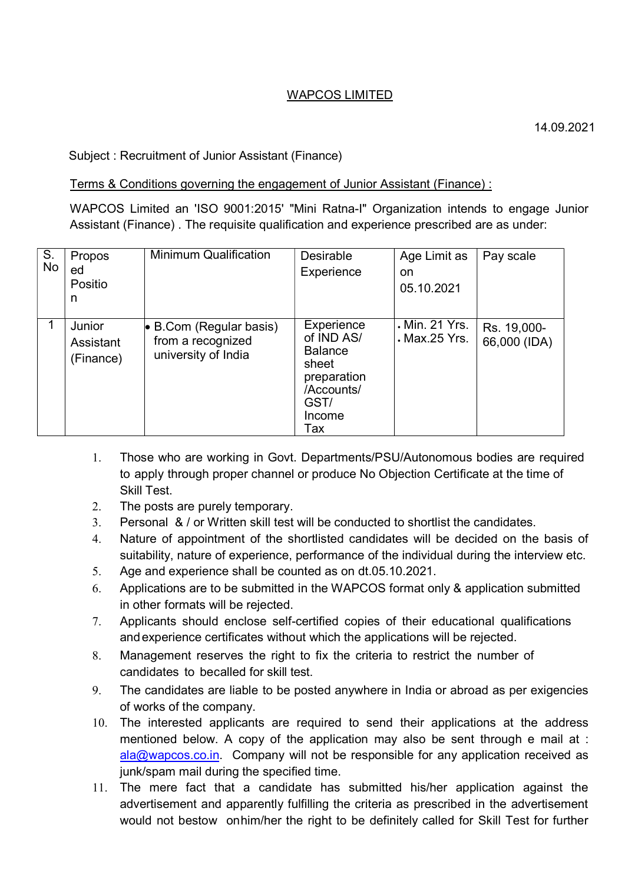## WAPCOS LIMITED

## Subject : Recruitment of Junior Assistant (Finance)

## Terms & Conditions governing the engagement of Junior Assistant (Finance) :

WAPCOS Limited an 'ISO 9001:2015' "Mini Ratna-I" Organization intends to engage Junior Assistant (Finance) . The requisite qualification and experience prescribed are as under:

| S.<br>No | Propos    | <b>Minimum Qualification</b>                         | <b>Desirable</b>         | Age Limit as                    | Pay scale                   |
|----------|-----------|------------------------------------------------------|--------------------------|---------------------------------|-----------------------------|
|          | ed        |                                                      | Experience               | on                              |                             |
|          | Positio   |                                                      |                          | 05.10.2021                      |                             |
|          | n         |                                                      |                          |                                 |                             |
|          |           |                                                      |                          |                                 |                             |
|          | Junior    | $\bullet$ B.Com (Regular basis)<br>from a recognized | Experience<br>of IND AS/ | . Min. 21 Yrs.<br>. Max.25 Yrs. | Rs. 19,000-<br>66,000 (IDA) |
|          | Assistant |                                                      |                          |                                 |                             |
|          | (Finance) | university of India                                  | <b>Balance</b><br>sheet  |                                 |                             |
|          |           |                                                      | preparation              |                                 |                             |
|          |           |                                                      | /Accounts/               |                                 |                             |
|          |           |                                                      | GST/                     |                                 |                             |
|          |           |                                                      | Income                   |                                 |                             |
|          |           |                                                      | Tax                      |                                 |                             |
|          |           |                                                      |                          |                                 |                             |

- 1. Those who are working in Govt. Departments/PSU/Autonomous bodies are required to apply through proper channel or produce No Objection Certificate at the time of Skill Test.
- 2. The posts are purely temporary.
- 3. Personal & / or Written skill test will be conducted to shortlist the candidates.
- 4. Nature of appointment of the shortlisted candidates will be decided on the basis of suitability, nature of experience, performance of the individual during the interview etc.
- 5. Age and experience shall be counted as on dt.05.10.2021.
- 6. Applications are to be submitted in the WAPCOS format only & application submitted in other formats will be rejected.
- 7. Applicants should enclose self-certified copies of their educational qualifications and experience certificates without which the applications will be rejected.
- 8. Management reserves the right to fix the criteria to restrict the number of candidates to be called for skill test.
- 9. The candidates are liable to be posted anywhere in India or abroad as per exigencies of works of the company.
- 10. The interested applicants are required to send their applications at the address mentioned below. A copy of the application may also be sent through e mail at :  $a|a@$ wapcos.co.in. Company will not be responsible for any application received as junk/spam mail during the specified time.
- 11. The mere fact that a candidate has submitted his/her application against the advertisement and apparently fulfilling the criteria as prescribed in the advertisement would not bestow on him/her the right to be definitely called for Skill Test for further